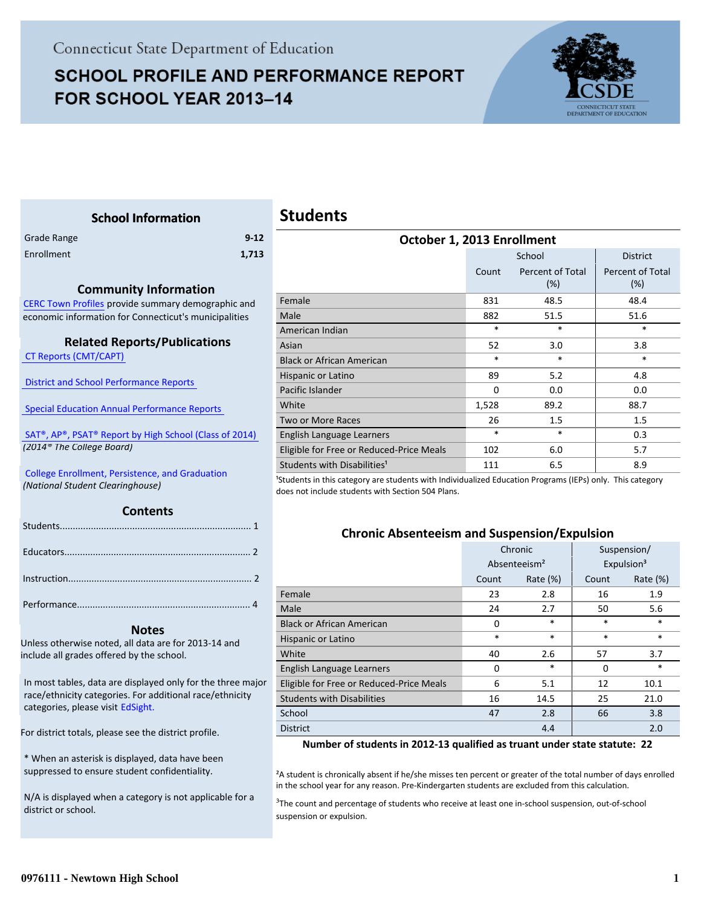# **SCHOOL PROFILE AND PERFORMANCE REPORT** FOR SCHOOL YEAR 2013-14



Percent of Total (%)

<span id="page-0-0"></span>

| <b>School Information</b>                                                                  |                  | <b>Students</b>                                                                                                                                                            |        |                             |                           |  |  |  |
|--------------------------------------------------------------------------------------------|------------------|----------------------------------------------------------------------------------------------------------------------------------------------------------------------------|--------|-----------------------------|---------------------------|--|--|--|
| Grade Range                                                                                | $9 - 12$         | October 1, 2013 Enrollment                                                                                                                                                 |        |                             |                           |  |  |  |
| Enrollment                                                                                 | 1,713            |                                                                                                                                                                            |        | School                      | <b>District</b>           |  |  |  |
|                                                                                            |                  |                                                                                                                                                                            | Count  | Percent of Total<br>(%)     | Percent of Tot<br>(%)     |  |  |  |
| <b>Community Information</b><br>CERC Town Profiles provide summary demographic and         |                  | Female                                                                                                                                                                     | 831    | 48.5                        | 48.4                      |  |  |  |
| economic information for Connecticut's municipalities                                      |                  | Male                                                                                                                                                                       | 882    | 51.5                        | 51.6                      |  |  |  |
|                                                                                            |                  | American Indian                                                                                                                                                            | $\ast$ | $\ast$                      | $\ast$                    |  |  |  |
| <b>Related Reports/Publications</b>                                                        |                  | Asian                                                                                                                                                                      | 52     | 3.0                         | 3.8                       |  |  |  |
| <b>CT Reports (CMT/CAPT)</b>                                                               |                  | <b>Black or African American</b>                                                                                                                                           | $\ast$ | $\ast$                      | $\ast$                    |  |  |  |
|                                                                                            |                  | Hispanic or Latino                                                                                                                                                         | 89     | 5.2                         | 4.8                       |  |  |  |
| <b>District and School Performance Reports</b>                                             | Pacific Islander | $\Omega$                                                                                                                                                                   | 0.0    | 0.0                         |                           |  |  |  |
| <b>Special Education Annual Performance Reports</b>                                        |                  | White                                                                                                                                                                      | 1,528  | 89.2                        | 88.7                      |  |  |  |
|                                                                                            |                  | Two or More Races                                                                                                                                                          | 26     | 1.5                         | 1.5                       |  |  |  |
| SAT <sup>®</sup> , AP®, PSAT® Report by High School (Class of 2014)                        |                  | English Language Learners                                                                                                                                                  | $\ast$ | $\ast$                      | 0.3                       |  |  |  |
| (2014 <sup>®</sup> The College Board)                                                      |                  | Eligible for Free or Reduced-Price Meals                                                                                                                                   | 102    | 6.0                         | 5.7                       |  |  |  |
|                                                                                            |                  | Students with Disabilities <sup>1</sup>                                                                                                                                    | 111    | 6.5                         | 8.9                       |  |  |  |
| <b>College Enrollment, Persistence, and Graduation</b><br>(National Student Clearinghouse) |                  | <sup>1</sup> Students in this category are students with Individualized Education Programs (IEPs) only. This category<br>does not include students with Section 504 Plans. |        |                             |                           |  |  |  |
| <b>Contents</b>                                                                            |                  |                                                                                                                                                                            |        |                             |                           |  |  |  |
|                                                                                            |                  | <b>Chronic Absenteeism and Suspension/Expulsion</b>                                                                                                                        |        |                             |                           |  |  |  |
|                                                                                            |                  |                                                                                                                                                                            |        | Chronic                     | Suspension/               |  |  |  |
|                                                                                            |                  |                                                                                                                                                                            |        | $A$ hsenteeism <sup>2</sup> | $F$ vnulsion <sup>3</sup> |  |  |  |

|                                          |                          |             | ------------- |                        |  |
|------------------------------------------|--------------------------|-------------|---------------|------------------------|--|
|                                          | Absenteeism <sup>2</sup> |             |               | Expulsion <sup>3</sup> |  |
|                                          | Count                    | Rate $(\%)$ | Count         | Rate $(\%)$            |  |
| Female                                   | 23                       | 2.8         | 16            | 1.9                    |  |
| Male                                     | 24                       | 2.7         | 50            | 5.6                    |  |
| <b>Black or African American</b>         | 0                        | $\ast$      | $\ast$        | $\ast$                 |  |
| Hispanic or Latino                       | *                        | $\ast$      | $\ast$        | $\ast$                 |  |
| White                                    | 40                       | 2.6         | 57            | 3.7                    |  |
| English Language Learners                | 0                        | $\ast$      | $\Omega$      | $\ast$                 |  |
| Eligible for Free or Reduced-Price Meals | 6                        | 5.1         | 12            | 10.1                   |  |
| <b>Students with Disabilities</b>        | 16                       | 14.5        | 25            | 21.0                   |  |
| School                                   | 47                       | 2.8         | 66            | 3.8                    |  |
| <b>District</b>                          |                          | 4.4         |               | 2.0                    |  |

#### **Number of students in 2012-13 qualified as truant under state statute: 22**

<sup>2</sup>A student is chronically absent if he/she misses ten percent or greater of the total number of days enrolled in the school year for any reason. Pre-Kindergarten students are excluded from this calculation.

<sup>3</sup>The count and percentage of students who receive at least one in-school suspension, out-of-school suspension or expulsion.

For district totals, please see the district profile.

include all grades offered by the school.

categories, please visit EdSight.

\* When an asterisk is displayed, data have been suppressed to ensure student confidentiality.

N/A is displayed when a category is not applicable for a district or school.

Instruction....................................................................... 2 .

Performance................................................................... 4 .

 **Notes** Unless otherwise noted, all data are for 2013-14 and

[In most tables, data are displayed only for the three major](http://edsight.ct.gov) race/ethnicity categories. For additional race/ethnicity

#### **0976111 - Newtown High School 1**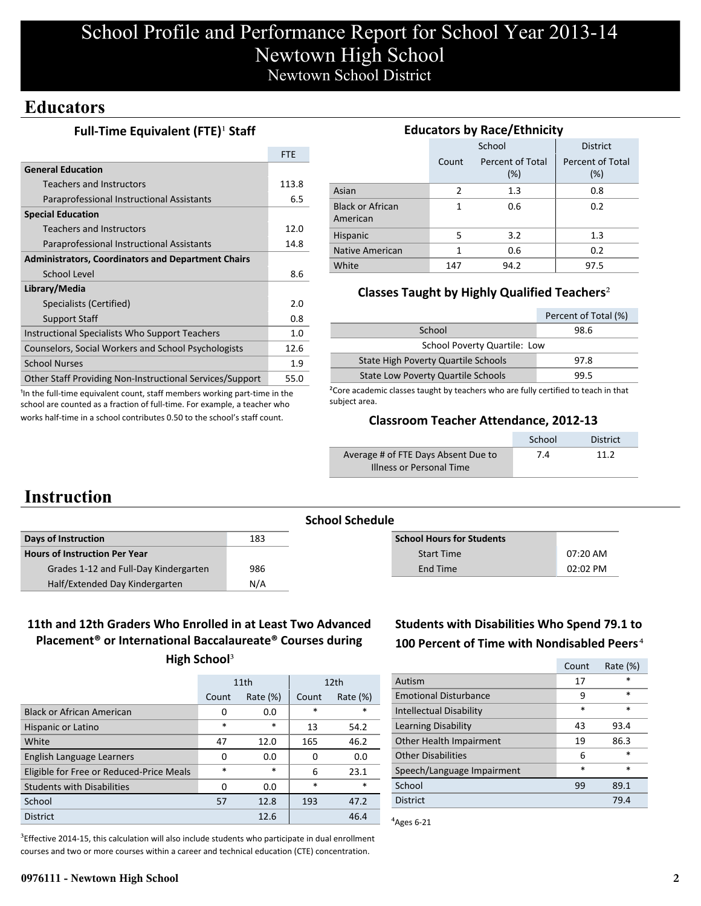# School Profile and Performance Report for School Year 2013-14 Newtown High School Newtown School District

## **Educators**

### **Full-Time Equivalent (FTE)<sup>1</sup> Staff**

|                                                           | <b>FTE</b> |
|-----------------------------------------------------------|------------|
| <b>General Education</b>                                  |            |
| Teachers and Instructors                                  | 113.8      |
| Paraprofessional Instructional Assistants                 | 6.5        |
| <b>Special Education</b>                                  |            |
| <b>Teachers and Instructors</b>                           | 12.0       |
| Paraprofessional Instructional Assistants                 | 14.8       |
| <b>Administrators, Coordinators and Department Chairs</b> |            |
| School Level                                              | 8.6        |
| Library/Media                                             |            |
| Specialists (Certified)                                   | 2.0        |
| <b>Support Staff</b>                                      | 0.8        |
| Instructional Specialists Who Support Teachers            | 1.0        |
| Counselors, Social Workers and School Psychologists       | 12.6       |
| <b>School Nurses</b>                                      | 1.9        |
| Other Staff Providing Non-Instructional Services/Support  | 55.0       |

<sup>1</sup>In the full-time equivalent count, staff members working part-time in the school are counted as a fraction of full-time. For example, a teacher who works half-time in a school contributes 0.50 to the school's staff count.

### **Educators by Race/Ethnicity**

|                                     |                | School                     | <b>District</b>         |
|-------------------------------------|----------------|----------------------------|-------------------------|
|                                     | Count          | Percent of Total<br>$(\%)$ | Percent of Total<br>(%) |
| Asian                               | $\overline{2}$ | 1.3                        | 0.8                     |
| <b>Black or African</b><br>American | 1              | 0.6                        | 0.2                     |
| Hispanic                            | 5              | 3.2                        | 1.3                     |
| Native American                     | 1              | 0.6                        | 0.2                     |
| White                               | 147            | 94.2                       | 97.5                    |

### **Classes Taught by Highly Qualified Teachers**²

|                                           | Percent of Total (%) |
|-------------------------------------------|----------------------|
| School                                    | 98.6                 |
| <b>School Poverty Quartile: Low</b>       |                      |
| State High Poverty Quartile Schools       | 97.8                 |
| <b>State Low Poverty Quartile Schools</b> | 99.5                 |

<sup>2</sup>Core academic classes taught by teachers who are fully certified to teach in that subject area.

#### **Classroom Teacher Attendance, 2012-13**

|                                     | School | <b>District</b> |
|-------------------------------------|--------|-----------------|
| Average # of FTE Days Absent Due to | 7.4    | 11.2            |
| Illness or Personal Time            |        |                 |

## **Instruction**

|                                       |     | <b>School Schedule</b>           |            |
|---------------------------------------|-----|----------------------------------|------------|
| Days of Instruction                   | 183 | <b>School Hours for Students</b> |            |
| <b>Hours of Instruction Per Year</b>  |     | <b>Start Time</b>                | $07:20$ AM |
| Grades 1-12 and Full-Day Kindergarten | 986 | End Time                         | $02:02$ PM |
| Half/Extended Day Kindergarten        | N/A |                                  |            |

## **11th and 12th Graders Who Enrolled in at Least Two Advanced Placement® or International Baccalaureate® Courses during**

|                                          |            | 11th        | 12 <sub>th</sub> |             |  |
|------------------------------------------|------------|-------------|------------------|-------------|--|
|                                          | Count      | Rate $(\%)$ | Count            | Rate $(\%)$ |  |
| <b>Black or African American</b>         | 0          | 0.0         | $\ast$           | *           |  |
| Hispanic or Latino                       | $\ast$     | $\ast$      | 13               | 54.2        |  |
| White                                    | 47<br>12.0 |             | 165              | 46.2        |  |
| English Language Learners                | 0          | 0.0         | 0                | 0.0         |  |
| Eligible for Free or Reduced-Price Meals | $\ast$     | $\ast$      | 6                | 23.1        |  |
| <b>Students with Disabilities</b>        | 0          | 0.0         | $\ast$           | $\ast$      |  |
| School                                   | 57         | 12.8        | 193              | 47.2        |  |
| <b>District</b>                          |            | 12.6        |                  | 46.4        |  |

 ${}^{3}$ Effective 2014-15, this calculation will also include students who participate in dual enrollment courses and two or more courses within a career and technical education (CTE) concentration.

## **Students with Disabilities Who Spend 79.1 to 100 Percent of Time with Nondisabled Peers**⁴

|                                | Count  | Rate $(\%)$ |
|--------------------------------|--------|-------------|
| Autism                         | 17     | *           |
| <b>Emotional Disturbance</b>   | 9      | $\ast$      |
| <b>Intellectual Disability</b> | $\ast$ | $\star$     |
| Learning Disability            | 43     | 93.4        |
| Other Health Impairment        | 19     | 86.3        |
| <b>Other Disabilities</b>      | 6      | $\star$     |
| Speech/Language Impairment     | *      | $\ast$      |
| School                         | 99     | 89.1        |
| <b>District</b>                |        | 79.4        |

 $A$ <sub>Ages</sub> 6-21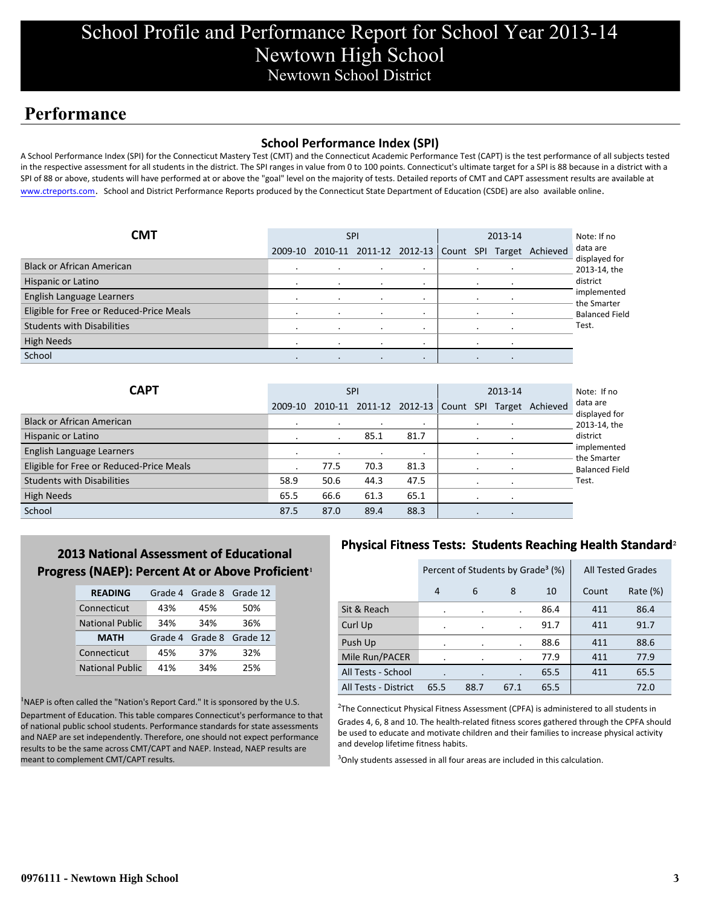# School Profile and Performance Report for School Year 2013-14 Newtown High School Newtown School District

## **Performance**

#### **School Performance Index (SPI)**

A School Performance Index (SPI) for the Connecticut Mastery Test (CMT) and the Connecticut Academic Performance Test (CAPT) is the test performance of all subjects tested in the respective assessment for all students in the district. The SPI ranges in value from 0 to 100 points. Connecticut's ultimate target for a SPI is 88 because in a district with a SPI of 88 or above, students will have performed at or above the "goal" level on the majority of tests. Detailed reports of CMT and CAPT assessment results are available at www.ctreports.com. School and District Performance Reports produced by the Connecticut State Department of Education (CSDE) are also available online.

| CMT                                      | <b>SPI</b> |         |           | 2013-14   |  |  | Note: If no |                                                           |                            |
|------------------------------------------|------------|---------|-----------|-----------|--|--|-------------|-----------------------------------------------------------|----------------------------|
|                                          |            |         |           |           |  |  |             | 2009-10 2010-11 2011-12 2012-13 Count SPI Target Achieved | data are<br>displayed for  |
| <b>Black or African American</b>         |            | $\cdot$ | $\cdot$   | $\cdot$   |  |  |             |                                                           | 2013-14, the               |
| Hispanic or Latino                       |            |         |           |           |  |  |             |                                                           | district                   |
| English Language Learners                |            | $\cdot$ | $\cdot$   | $\cdot$   |  |  |             |                                                           | implemented<br>the Smarter |
| Eligible for Free or Reduced-Price Meals |            | $\cdot$ | $\bullet$ |           |  |  |             |                                                           | <b>Balanced Field</b>      |
| <b>Students with Disabilities</b>        |            |         | $\bullet$ |           |  |  |             |                                                           | Test.                      |
| <b>High Needs</b>                        |            |         |           |           |  |  |             |                                                           |                            |
| School                                   |            | $\cdot$ | $\cdot$   | $\bullet$ |  |  |             |                                                           |                            |

| <b>CAPT</b>                              | <b>SPI</b> |         |      | 2013-14                   |  |         |  | Note: If no     |                            |
|------------------------------------------|------------|---------|------|---------------------------|--|---------|--|-----------------|----------------------------|
|                                          | 2009-10    | 2010-11 |      | 2011-12 2012-13 Count SPI |  |         |  | Target Achieved | data are<br>displayed for  |
| <b>Black or African American</b>         |            |         |      |                           |  |         |  |                 | 2013-14, the               |
| Hispanic or Latino                       |            |         | 85.1 | 81.7                      |  |         |  |                 | district                   |
| English Language Learners                | $\cdot$    |         |      |                           |  | $\cdot$ |  |                 | implemented<br>the Smarter |
| Eligible for Free or Reduced-Price Meals |            | 77.5    | 70.3 | 81.3                      |  |         |  |                 | <b>Balanced Field</b>      |
| <b>Students with Disabilities</b>        | 58.9       | 50.6    | 44.3 | 47.5                      |  |         |  |                 | Test.                      |
| <b>High Needs</b>                        | 65.5       | 66.6    | 61.3 | 65.1                      |  |         |  |                 |                            |
| School                                   | 87.5       | 87.0    | 89.4 | 88.3                      |  |         |  |                 |                            |

## **2013 National Assessment of Educational Progress (NAEP): Percent At or Above Proficient**<sup>1</sup>

| <b>READING</b>         |         |     | Grade 4 Grade 8 Grade 12 |
|------------------------|---------|-----|--------------------------|
| Connecticut            | 43%     | 45% | 50%                      |
| <b>National Public</b> | 34%     | 34% | 36%                      |
|                        |         |     |                          |
| <b>MATH</b>            | Grade 4 |     | Grade 8 Grade 12         |
| Connecticut            | 45%     | 37% | 32%                      |

 $<sup>1</sup>NAEP$  is often called the "Nation's Report Card." It is sponsored by the U.S.</sup> Department of Education. This table compares Connecticut's performance to that of national public school students. Performance standards for state assessments and NAEP are set independently. Therefore, one should not expect performance results to be the same across CMT/CAPT and NAEP. Instead, NAEP results are meant to complement CMT/CAPT results.

### **Physical Fitness Tests: Students Reaching Health Standard**²

|                      | Percent of Students by Grade <sup>3</sup> (%) |         |      |      | <b>All Tested Grades</b> |             |
|----------------------|-----------------------------------------------|---------|------|------|--------------------------|-------------|
|                      | 4                                             | 6       | 8    | 10   | Count                    | Rate $(\%)$ |
| Sit & Reach          |                                               |         |      | 86.4 | 411                      | 86.4        |
| Curl Up              | ٠                                             | $\cdot$ |      | 91.7 | 411                      | 91.7        |
| Push Up              | ٠                                             |         |      | 88.6 | 411                      | 88.6        |
| Mile Run/PACER       |                                               |         |      | 77.9 | 411                      | 77.9        |
| All Tests - School   | ٠                                             |         |      | 65.5 | 411                      | 65.5        |
| All Tests - District | 65.5                                          | 88.7    | 67.1 | 65.5 |                          | 72.0        |

<sup>2</sup>The Connecticut Physical Fitness Assessment (CPFA) is administered to all students in Grades 4, 6, 8 and 10. The health-related fitness scores gathered through the CPFA should be used to educate and motivate children and their families to increase physical activity and develop lifetime fitness habits.

<sup>3</sup>Only students assessed in all four areas are included in this calculation.